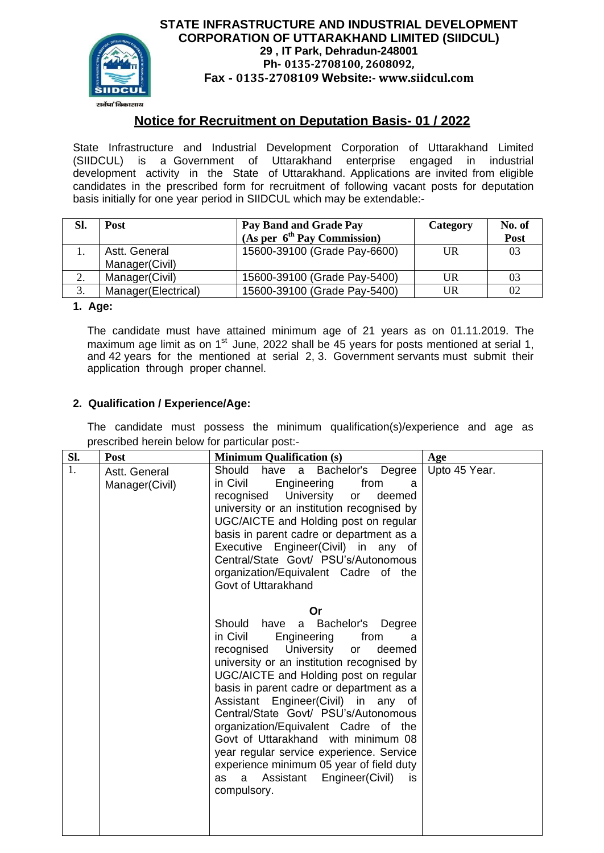

# **STATE INFRASTRUCTURE AND INDUSTRIAL DEVELOPMENT CORPORATION OF UTTARAKHAND LIMITED (SIIDCUL) 29 , IT Park, Dehradun-248001 Ph- 0135-2708100, 2608092, Fax - 0135-2708109 Website:- www.siidcul.com**

# **Notice for Recruitment on Deputation Basis- 01 / 2022**

State Infrastructure and Industrial Development Corporation of Uttarakhand Limited<br>(SIIDCUL) is a Government of Uttarakhand enterprise engaged in industrial (SIIDCUL) is a Government of Uttarakhand development activity in the State of Uttarakhand. Applications are invited from eligible candidates in the prescribed form for recruitment of following vacant posts for deputation basis initially for one year period in SIIDCUL which may be extendable:-

| SI. | Post                            | Pay Band and Grade Pay<br>(As per $6th$ Pay Commission) | Category | No. of<br>Post |
|-----|---------------------------------|---------------------------------------------------------|----------|----------------|
|     | Astt. General<br>Manager(Civil) | 15600-39100 (Grade Pay-6600)                            | UR       | 03             |
| 2.  | Manager(Civil)                  | 15600-39100 (Grade Pay-5400)                            | UR       | 03             |
| 3.  | Manager(Electrical)             | 15600-39100 (Grade Pay-5400)                            | UR       | 02             |

## **1. Age:**

The candidate must have attained minimum age of 21 years as on 01.11.2019. The maximum age limit as on 1<sup>st</sup> June, 2022 shall be 45 years for posts mentioned at serial 1, and 42 years for the mentioned at serial 2, 3. Government servants must submit their application through proper channel.

### **2. Qualification / Experience/Age:**

The candidate must possess the minimum qualification(s)/experience and age as prescribed herein below for particular post:-

| Sl. | Post                            | <b>Minimum Qualification (s)</b>                                                                                                                                                                                                                                                                                                                                                                                                                                                                                                                                                              | Age           |
|-----|---------------------------------|-----------------------------------------------------------------------------------------------------------------------------------------------------------------------------------------------------------------------------------------------------------------------------------------------------------------------------------------------------------------------------------------------------------------------------------------------------------------------------------------------------------------------------------------------------------------------------------------------|---------------|
| 1.  | Astt. General<br>Manager(Civil) | Should have a Bachelor's Degree<br>in Civil<br>Engineering<br>from<br>a<br>recognised University<br>deemed<br>or<br>university or an institution recognised by<br>UGC/AICTE and Holding post on regular<br>basis in parent cadre or department as a<br>Executive Engineer(Civil) in any of<br>Central/State Govt/ PSU's/Autonomous<br>organization/Equivalent Cadre of the<br>Govt of Uttarakhand                                                                                                                                                                                             | Upto 45 Year. |
|     |                                 | Or<br>Should<br>a Bachelor's Degree<br>have<br>in Civil<br>Engineering<br>from<br>a<br>recognised University<br>deemed<br><b>or</b><br>university or an institution recognised by<br>UGC/AICTE and Holding post on regular<br>basis in parent cadre or department as a<br>Assistant Engineer(Civil) in any of<br>Central/State Govt/ PSU's/Autonomous<br>organization/Equivalent Cadre of the<br>Govt of Uttarakhand with minimum 08<br>year regular service experience. Service<br>experience minimum 05 year of field duty<br>Assistant<br>Engineer(Civil)<br>as<br>a<br>is.<br>compulsory. |               |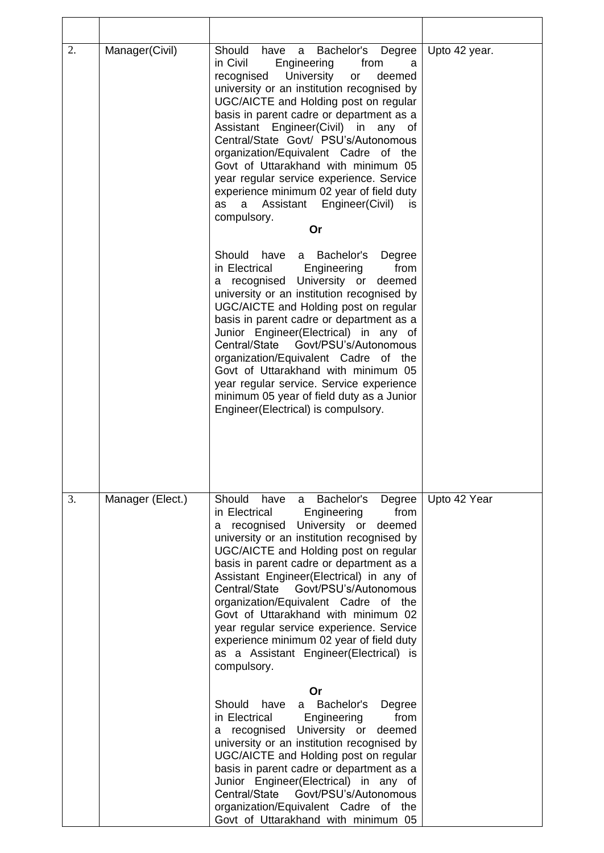| 2. | Manager(Civil)   | Should<br>Bachelor's Degree<br>have a<br>in Civil<br>Engineering<br>from<br>a<br>University<br>recognised<br>deemed<br>or<br>university or an institution recognised by<br>UGC/AICTE and Holding post on regular<br>basis in parent cadre or department as a<br>Assistant Engineer(Civil) in<br>any<br>0f<br>Central/State Govt/ PSU's/Autonomous<br>organization/Equivalent Cadre of the<br>Govt of Uttarakhand with minimum 05<br>year regular service experience. Service<br>experience minimum 02 year of field duty<br>Assistant Engineer(Civil)<br>as<br>a<br>is<br>compulsory.<br>Or | Upto 42 year. |
|----|------------------|---------------------------------------------------------------------------------------------------------------------------------------------------------------------------------------------------------------------------------------------------------------------------------------------------------------------------------------------------------------------------------------------------------------------------------------------------------------------------------------------------------------------------------------------------------------------------------------------|---------------|
|    |                  | Should<br>Bachelor's<br>have a<br>Degree<br>Engineering<br>from<br>in Electrical<br>a recognised University or<br>deemed<br>university or an institution recognised by<br>UGC/AICTE and Holding post on regular<br>basis in parent cadre or department as a<br>Junior Engineer(Electrical) in any of<br>Central/State<br>Govt/PSU's/Autonomous<br>organization/Equivalent Cadre of the<br>Govt of Uttarakhand with minimum 05<br>year regular service. Service experience<br>minimum 05 year of field duty as a Junior<br>Engineer(Electrical) is compulsory.                               |               |
| 3. | Manager (Elect.) | Should have a Bachelor's<br>Degree<br>in Electrical<br>Engineering<br>from<br>University or<br>a recognised<br>deemed<br>university or an institution recognised by<br>UGC/AICTE and Holding post on regular<br>basis in parent cadre or department as a<br>Assistant Engineer(Electrical) in any of<br>Central/State<br>Govt/PSU's/Autonomous<br>organization/Equivalent Cadre of the<br>Govt of Uttarakhand with minimum 02<br>year regular service experience. Service<br>experience minimum 02 year of field duty<br>as a Assistant Engineer(Electrical) is<br>compulsory.              | Upto 42 Year  |
|    |                  | Or<br>Should<br>a Bachelor's<br>have<br>Degree<br>in Electrical<br>Engineering<br>from<br>University or<br>a recognised<br>deemed<br>university or an institution recognised by<br>UGC/AICTE and Holding post on regular<br>basis in parent cadre or department as a<br>Junior Engineer(Electrical) in any of<br>Central/State Govt/PSU's/Autonomous<br>organization/Equivalent Cadre of the<br>Govt of Uttarakhand with minimum 05                                                                                                                                                         |               |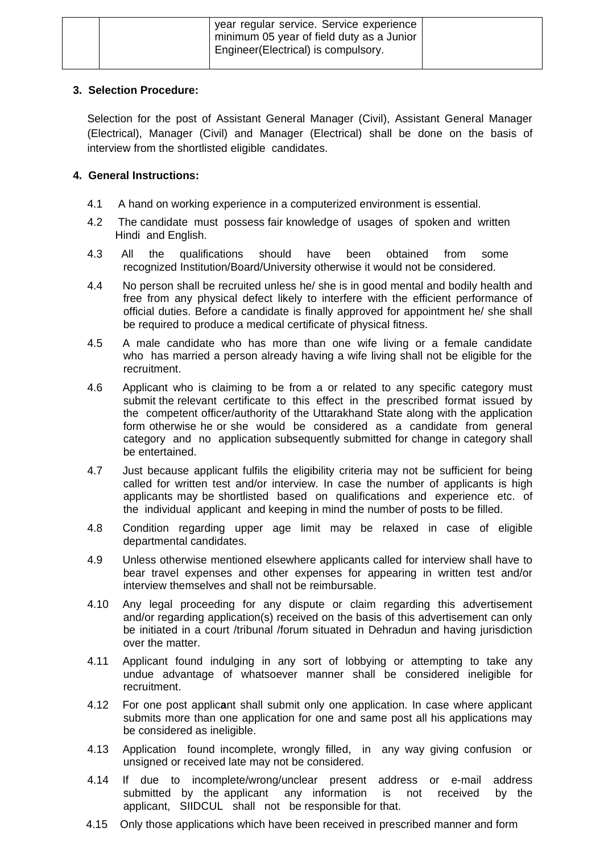| year regular service. Service experience<br>minimum 05 year of field duty as a Junior<br>Engineer (Electrical) is compulsory. |  |
|-------------------------------------------------------------------------------------------------------------------------------|--|
|                                                                                                                               |  |

### **3. Selection Procedure:**

Selection for the post of Assistant General Manager (Civil), Assistant General Manager (Electrical), Manager (Civil) and Manager (Electrical) shall be done on the basis of interview from the shortlisted eligible candidates.

# **4. General Instructions:**

- 4.1 A hand on working experience in a computerized environment is essential.
- 4.2 The candidate must possess fair knowledge of usages of spoken and written Hindi and English.
- 4.3 All the qualifications should have been obtained from some recognized Institution/Board/University otherwise it would not be considered.
- 4.4 No person shall be recruited unless he/ she is in good mental and bodily health and free from any physical defect likely to interfere with the efficient performance of official duties. Before a candidate is finally approved for appointment he/ she shall be required to produce a medical certificate of physical fitness.
- 4.5 A male candidate who has more than one wife living or a female candidate who has married a person already having a wife living shall not be eligible for the recruitment.
- 4.6 Applicant who is claiming to be from a or related to any specific category must submit the relevant certificate to this effect in the prescribed format issued by the competent officer/authority of the Uttarakhand State along with the application form otherwise he or she would be considered as a candidate from general category and no application subsequently submitted for change in category shall be entertained.
- 4.7 Just because applicant fulfils the eligibility criteria may not be sufficient for being called for written test and/or interview. In case the number of applicants is high applicants may be shortlisted based on qualifications and experience etc. of the individual applicant and keeping in mind the number of posts to be filled.
- 4.8 Condition regarding upper age limit may be relaxed in case of eligible departmental candidates.
- 4.9 Unless otherwise mentioned elsewhere applicants called for interview shall have to bear travel expenses and other expenses for appearing in written test and/or interview themselves and shall not be reimbursable.
- 4.10 Any legal proceeding for any dispute or claim regarding this advertisement and/or regarding application(s) received on the basis of this advertisement can only be initiated in a court /tribunal /forum situated in Dehradun and having jurisdiction over the matter.
- 4.11 Applicant found indulging in any sort of lobbying or attempting to take any undue advantage of whatsoever manner shall be considered ineligible for recruitment.
- 4.12 For one post applic**a**nt shall submit only one application. In case where applicant submits more than one application for one and same post all his applications may be considered as ineligible.
- 4.13 Application found incomplete, wrongly filled, in any way giving confusion or unsigned or received late may not be considered.
- 4.14 If due to incomplete/wrong/unclear present address or e-mail address submitted by the applicant any information is not received by the applicant, SIIDCUL shall not be responsible for that.
- 4.15 Only those applications which have been received in prescribed manner and form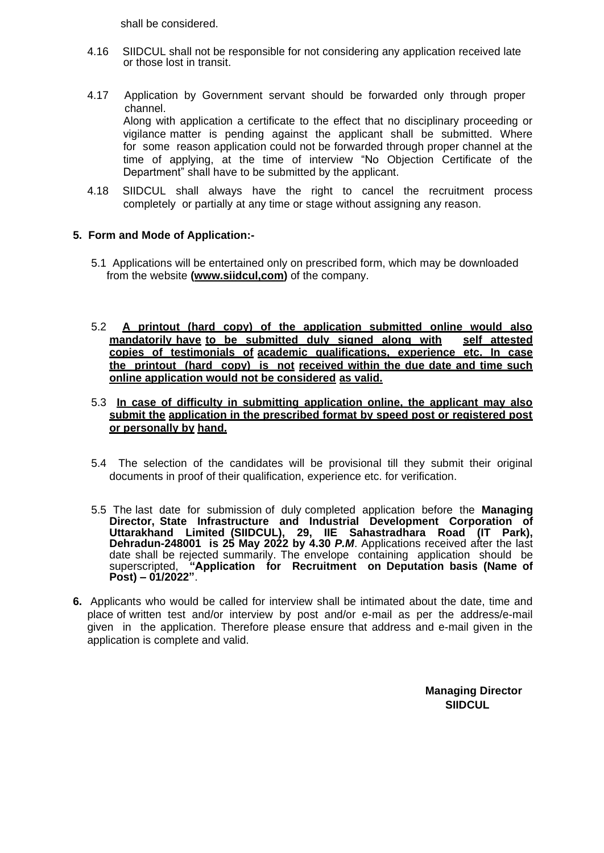shall be considered.

- 4.16 SIIDCUL shall not be responsible for not considering any application received late or those lost in transit.
- 4.17 Application by Government servant should be forwarded only through proper channel. Along with application a certificate to the effect that no disciplinary proceeding or vigilance matter is pending against the applicant shall be submitted. Where for some reason application could not be forwarded through proper channel at the time of applying, at the time of interview "No Objection Certificate of the Department" shall have to be submitted by the applicant.
- 4.18 SIIDCUL shall always have the right to cancel the recruitment process completely or partially at any time or stage without assigning any reason.

#### **5. Form and Mode of Application:-**

- 5.1 Applications will be entertained only on prescribed form, which may be downloaded from the website **[\(www.siidcul,com\)](http://www.siidcul/)** of the company.
- 5.2 **A printout (hard copy) of the application submitted online would also**  mandatorily have to be submitted duly signed along with **copies of testimonials of academic qualifications, experience etc. In case the printout (hard copy) is not received within the due date and time such online application would not be considered as valid.**

#### 5.3 **In case of difficulty in submitting application online, the applicant may also submit the application in the prescribed format by speed post or registered post or personally by hand.**

- 5.4 The selection of the candidates will be provisional till they submit their original documents in proof of their qualification, experience etc. for verification.
- 5.5 The last date for submission of duly completed application before the **Managing Director, State Infrastructure and Industrial Development Corporation of Uttarakhand Limited (SIIDCUL), 29, IIE Sahastradhara Road (IT Park), Dehradun-248001 is 25 May 2022 by 4.30 P.M.** Applications received after the last date shall be rejected summarily. The envelope containing application should be superscripted, **"Application for Recruitment on Deputation basis (Name of Post) – 01/2022"**.
- **6.** Applicants who would be called for interview shall be intimated about the date, time and place of written test and/or interview by post and/or e-mail as per the address/e-mail given in the application. Therefore please ensure that address and e-mail given in the application is complete and valid.

**Managing Director SIIDCUL**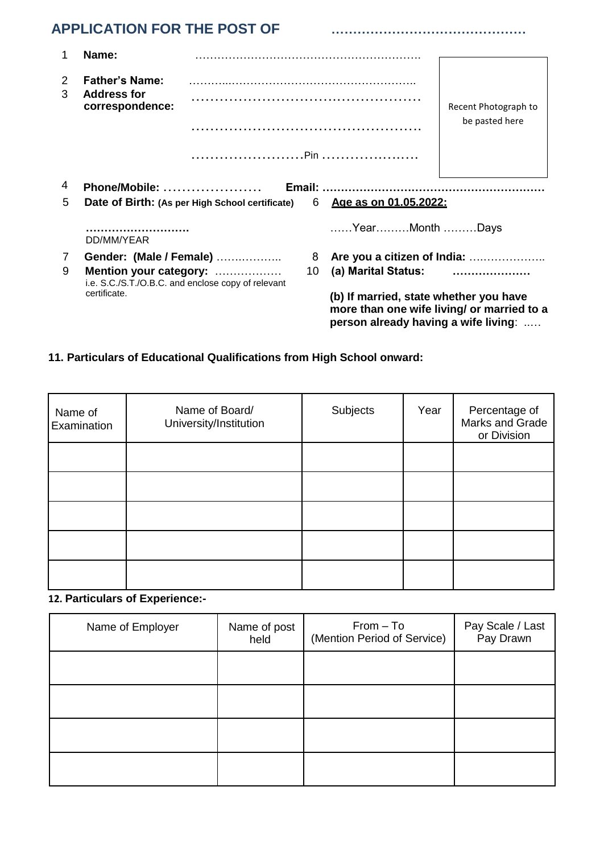# **APPLICATION FOR THE POST OF ………………………………………**

|        | Name:                                                                                        |                                                 |    |                                                                                                                              |                                        |
|--------|----------------------------------------------------------------------------------------------|-------------------------------------------------|----|------------------------------------------------------------------------------------------------------------------------------|----------------------------------------|
| 2<br>3 | <b>Father's Name:</b><br><b>Address for</b><br>correspondence:                               |                                                 |    |                                                                                                                              | Recent Photograph to<br>be pasted here |
|        |                                                                                              |                                                 |    |                                                                                                                              |                                        |
| 4      |                                                                                              |                                                 |    |                                                                                                                              |                                        |
| 5      |                                                                                              | Date of Birth: (As per High School certificate) | 6  | Age as on 01.05.2022:                                                                                                        |                                        |
|        | DD/MM/YEAR                                                                                   |                                                 |    | YearMonth Days                                                                                                               |                                        |
| 7      | Gender: (Male / Female)                                                                      |                                                 | 8  |                                                                                                                              |                                        |
| 9      | Mention your category:<br>i.e. S.C./S.T./O.B.C. and enclose copy of relevant<br>certificate. |                                                 | 10 | (a) Marital Status:                                                                                                          |                                        |
|        |                                                                                              |                                                 |    | (b) If married, state whether you have<br>more than one wife living/ or married to a<br>person already having a wife living: |                                        |

# **11. Particulars of Educational Qualifications from High School onward:**

| Name of<br>Examination | Name of Board/<br>University/Institution | Subjects | Year | Percentage of<br>Marks and Grade<br>or Division |
|------------------------|------------------------------------------|----------|------|-------------------------------------------------|
|                        |                                          |          |      |                                                 |
|                        |                                          |          |      |                                                 |
|                        |                                          |          |      |                                                 |
|                        |                                          |          |      |                                                 |
|                        |                                          |          |      |                                                 |

# **12. Particulars of Experience:-**

| Name of Employer | Name of post<br>held | $From - To$<br>(Mention Period of Service) | Pay Scale / Last<br>Pay Drawn |
|------------------|----------------------|--------------------------------------------|-------------------------------|
|                  |                      |                                            |                               |
|                  |                      |                                            |                               |
|                  |                      |                                            |                               |
|                  |                      |                                            |                               |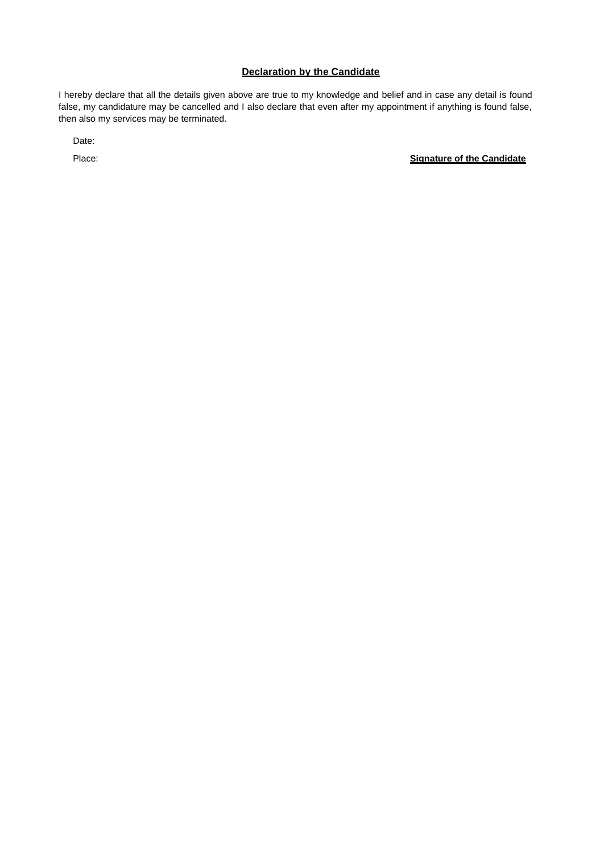#### **Declaration by the Candidate**

I hereby declare that all the details given above are true to my knowledge and belief and in case any detail is found false, my candidature may be cancelled and I also declare that even after my appointment if anything is found false, then also my services may be terminated.

Date:

Place: **Signature of the Candidate**